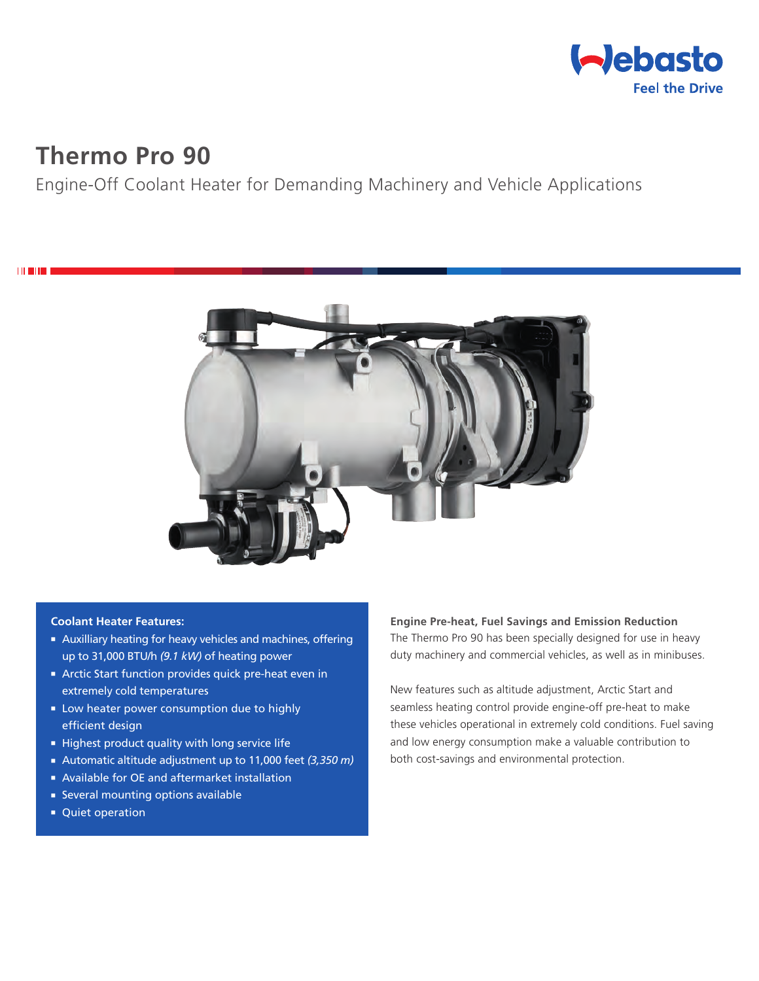

# **Thermo Pro 90**

**THEFT** 

# Engine-Off Coolant Heater for Demanding Machinery and Vehicle Applications



#### **Coolant Heater Features:**

- **Auxilliary heating for heavy vehicles and machines, offering** up to 31,000 BTU/h *(9.1 kW)* of heating power
- **Arctic Start function provides quick pre-heat even in** extremely cold temperatures
- **E** Low heater power consumption due to highly efficient design
- $\blacksquare$  Highest product quality with long service life
- Automatic altitude adjustment up to 11,000 feet (3,350 m)
- Available for OE and aftermarket installation
- **Exercise Several mounting options available**
- Quiet operation

**Engine Pre-heat, Fuel Savings and Emission Reduction** The Thermo Pro 90 has been specially designed for use in heavy duty machinery and commercial vehicles, as well as in minibuses.

New features such as altitude adjustment, Arctic Start and seamless heating control provide engine-off pre-heat to make these vehicles operational in extremely cold conditions. Fuel saving and low energy consumption make a valuable contribution to both cost-savings and environmental protection.